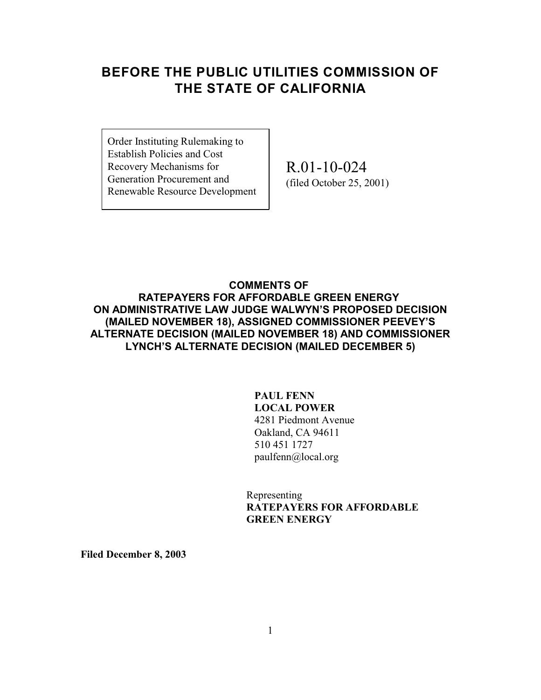## **BEFORE THE PUBLIC UTILITIES COMMISSION OF THE STATE OF CALIFORNIA**

Order Instituting Rulemaking to Establish Policies and Cost Recovery Mechanisms for Generation Procurement and Renewable Resource Development

R.01-10-024 (filed October 25, 2001)

### **COMMENTS OF RATEPAYERS FOR AFFORDABLE GREEN ENERGY ON ADMINISTRATIVE LAW JUDGE WALWYN'S PROPOSED DECISION (MAILED NOVEMBER 18), ASSIGNED COMMISSIONER PEEVEY'S ALTERNATE DECISION (MAILED NOVEMBER 18) AND COMMISSIONER** LYNCH'S ALTERNATE DECISION (MAILED DECEMBER 5)

### **PAUL FENN LOCAL POWER** 4281 Piedmont Avenue Oakland, CA 94611 510 451 1727 paulfenn@local.org

Representing **RATEPAYERS FOR AFFORDABLE GREEN ENERGY**

**Filed December 8, 2003**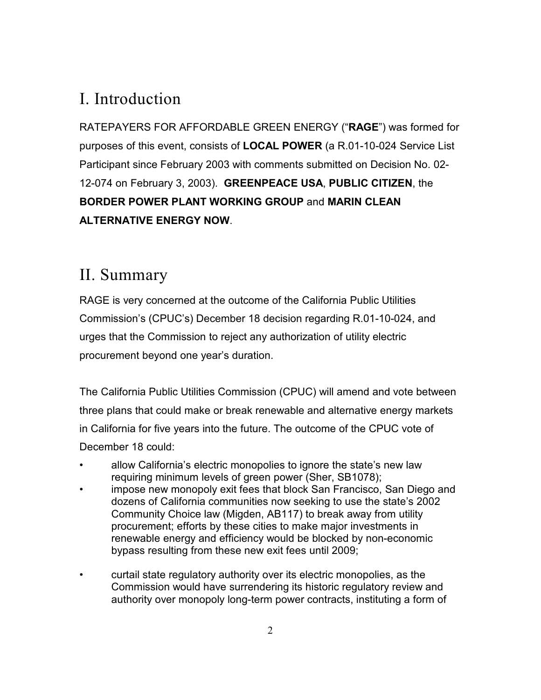# I. Introduction

RATEPAYERS FOR AFFORDABLE GREEN ENERGY ("**RAGE**") was formed for purposes of this event, consists of **LOCAL POWER** (a R.01-10-024 Service List Participant since February 2003 with comments submitted on Decision No. 02- 12-074 on February 3, 2003). **GREENPEACE USA**, **PUBLIC CITIZEN**, the **BORDER POWER PLANT WORKING GROUP** and **MARIN CLEAN ALTERNATIVE ENERGY NOW**.

# II. Summary

RAGE is very concerned at the outcome of the California Public Utilities Commission's (CPUC's) December 18 decision regarding R.01-10-024, and urges that the Commission to reject any authorization of utility electric procurement beyond one year's duration.

The California Public Utilities Commission (CPUC) will amend and vote between three plans that could make or break renewable and alternative energy markets in California for five years into the future. The outcome of the CPUC vote of December 18 could:

- allow California's electric monopolies to ignore the state's new law requiring minimum levels of green power (Sher, SB1078);
- impose new monopoly exit fees that block San Francisco, San Diego and dozens of California communities now seeking to use the state's 2002 Community Choice law (Migden, AB117) to break away from utility procurement; efforts by these cities to make major investments in renewable energy and efficiency would be blocked by non-economic bypass resulting from these new exit fees until 2009;
- curtail state regulatory authority over its electric monopolies, as the Commission would have surrendering its historic regulatory review and authority over monopoly long-term power contracts, instituting a form of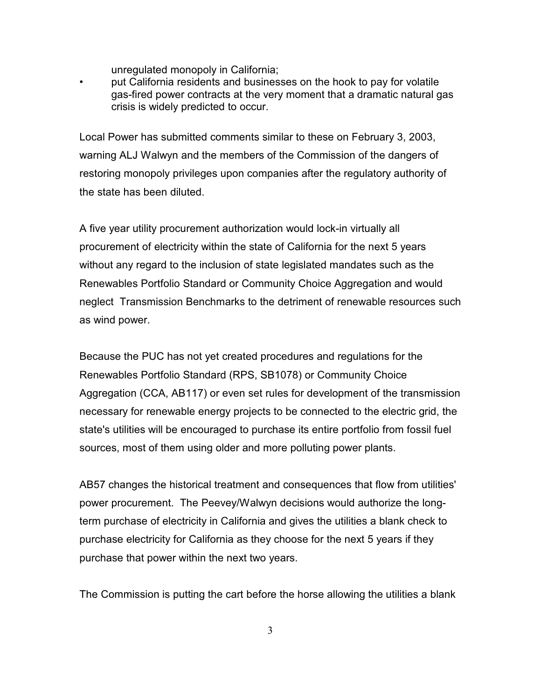unregulated monopoly in California;

• put California residents and businesses on the hook to pay for volatile gas-fired power contracts at the very moment that a dramatic natural gas crisis is widely predicted to occur.

Local Power has submitted comments similar to these on February 3, 2003, warning ALJ Walwyn and the members of the Commission of the dangers of restoring monopoly privileges upon companies after the regulatory authority of the state has been diluted.

A five year utility procurement authorization would lock-in virtually all procurement of electricity within the state of California for the next 5 years without any regard to the inclusion of state legislated mandates such as the Renewables Portfolio Standard or Community Choice Aggregation and would neglect Transmission Benchmarks to the detriment of renewable resources such as wind power.

Because the PUC has not yet created procedures and regulations for the Renewables Portfolio Standard (RPS, SB1078) or Community Choice Aggregation (CCA, AB117) or even set rules for development of the transmission necessary for renewable energy projects to be connected to the electric grid, the state's utilities will be encouraged to purchase its entire portfolio from fossil fuel sources, most of them using older and more polluting power plants.

AB57 changes the historical treatment and consequences that flow from utilities' power procurement. The Peevey/Walwyn decisions would authorize the longterm purchase of electricity in California and gives the utilities a blank check to purchase electricity for California as they choose for the next 5 years if they purchase that power within the next two years.

The Commission is putting the cart before the horse allowing the utilities a blank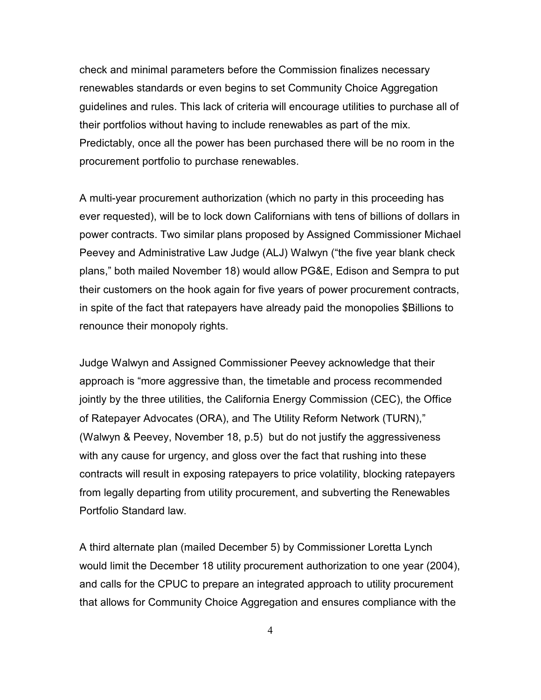check and minimal parameters before the Commission finalizes necessary renewables standards or even begins to set Community Choice Aggregation guidelines and rules. This lack of criteria will encourage utilities to purchase all of their portfolios without having to include renewables as part of the mix. Predictably, once all the power has been purchased there will be no room in the procurement portfolio to purchase renewables.

A multi-year procurement authorization (which no party in this proceeding has ever requested), will be to lock down Californians with tens of billions of dollars in power contracts. Two similar plans proposed by Assigned Commissioner Michael Peevey and Administrative Law Judge (ALJ) Walwyn ("the five year blank check plans," both mailed November 18) would allow PG&E, Edison and Sempra to put their customers on the hook again for five years of power procurement contracts, in spite of the fact that ratepayers have already paid the monopolies \$Billions to renounce their monopoly rights.

Judge Walwyn and Assigned Commissioner Peevey acknowledge that their approach is "more aggressive than, the timetable and process recommended jointly by the three utilities, the California Energy Commission (CEC), the Office of Ratepayer Advocates (ORA), and The Utility Reform Network (TURN)," (Walwyn & Peevey, November 18, p.5) but do not justify the aggressiveness with any cause for urgency, and gloss over the fact that rushing into these contracts will result in exposing ratepayers to price volatility, blocking ratepayers from legally departing from utility procurement, and subverting the Renewables Portfolio Standard law.

A third alternate plan (mailed December 5) by Commissioner Loretta Lynch would limit the December 18 utility procurement authorization to one year (2004), and calls for the CPUC to prepare an integrated approach to utility procurement that allows for Community Choice Aggregation and ensures compliance with the

4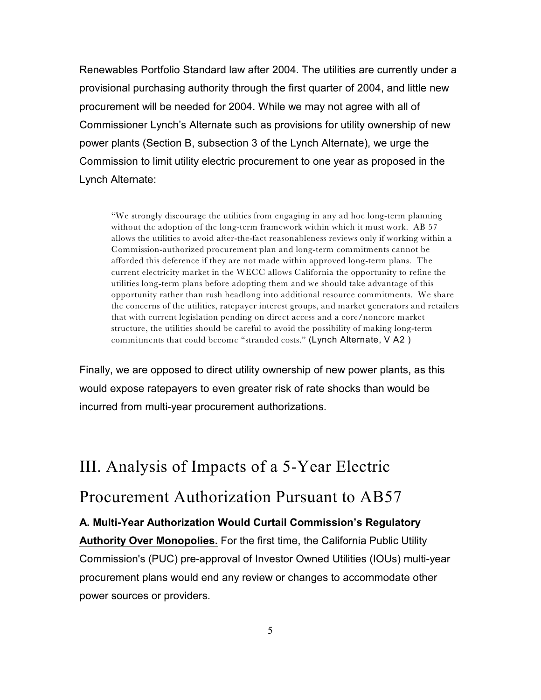Renewables Portfolio Standard law after 2004. The utilities are currently under a provisional purchasing authority through the first quarter of 2004, and little new procurement will be needed for 2004. While we may not agree with all of Commissioner Lynch's Alternate such as provisions for utility ownership of new power plants (Section B, subsection 3 of the Lynch Alternate), we urge the Commission to limit utility electric procurement to one year as proposed in the Lynch Alternate:

"We strongly discourage the utilities from engaging in any ad hoc long-term planning without the adoption of the long-term framework within which it must work. AB 57 allows the utilities to avoid after-the-fact reasonableness reviews only if working within a Commission-authorized procurement plan and long-term commitments cannot be afforded this deference if they are not made within approved long-term plans. The current electricity market in the WECC allows California the opportunity to refine the utilities long-term plans before adopting them and we should take advantage of this opportunity rather than rush headlong into additional resource commitments. We share the concerns of the utilities, ratepayer interest groups, and market generators and retailers that with current legislation pending on direct access and a core/noncore market structure, the utilities should be careful to avoid the possibility of making long-term commitments that could become "stranded costs." (Lynch Alternate, V A2 )

Finally, we are opposed to direct utility ownership of new power plants, as this would expose ratepayers to even greater risk of rate shocks than would be incurred from multi-year procurement authorizations.

## III. Analysis of Impacts of a 5-Year Electric

## Procurement Authorization Pursuant to AB57

### **A. Multi-Year Authorization Would Curtail Commission's Regulatory**

**Authority Over Monopolies.** For the first time, the California Public Utility Commission's (PUC) pre-approval of Investor Owned Utilities (IOUs) multi-year procurement plans would end any review or changes to accommodate other power sources or providers.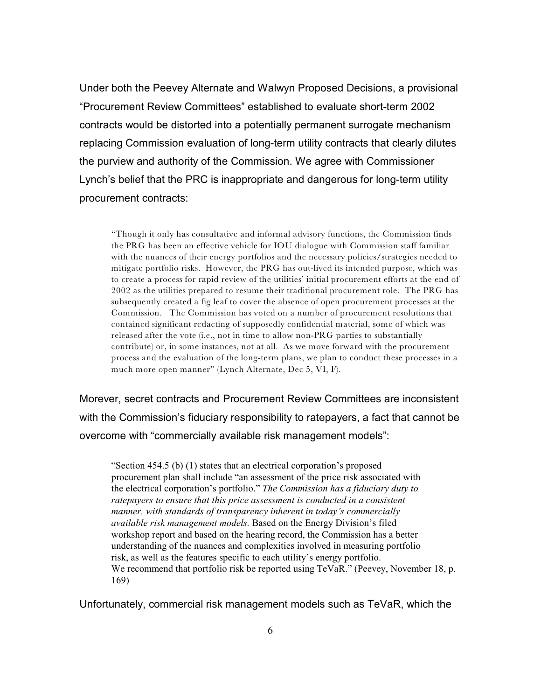Under both the Peevey Alternate and Walwyn Proposed Decisions, a provisional "Procurement Review Committees" established to evaluate short-term 2002 contracts would be distorted into a potentially permanent surrogate mechanism replacing Commission evaluation of long-term utility contracts that clearly dilutes the purview and authority of the Commission. We agree with Commissioner Lynch's belief that the PRC is inappropriate and dangerous for long-term utility procurement contracts:

"Though it only has consultative and informal advisory functions, the Commission finds the PRG has been an effective vehicle for IOU dialogue with Commission staff familiar with the nuances of their energy portfolios and the necessary policies/strategies needed to mitigate portfolio risks. However, the PRG has out-lived its intended purpose, which was to create a process for rapid review of the utilities' initial procurement efforts at the end of 2002 as the utilities prepared to resume their traditional procurement role. The PRG has subsequently created a fig leaf to cover the absence of open procurement processes at the Commission. The Commission has voted on a number of procurement resolutions that contained significant redacting of supposedly confidential material, some of which was released after the vote (i.e., not in time to allow non-PRG parties to substantially contribute) or, in some instances, not at all. As we move forward with the procurement process and the evaluation of the long-term plans, we plan to conduct these processes in a much more open manner" (Lynch Alternate, Dec 5, VI, F).

Morever, secret contracts and Procurement Review Committees are inconsistent with the Commission's fiduciary responsibility to ratepayers, a fact that cannot be overcome with "commercially available risk management models":

"Section 454.5 (b) (1) states that an electrical corporation's proposed procurement plan shall include "an assessment of the price risk associated with the electrical corporation's portfolio." *The Commission has a fiduciary duty to ratepayers to ensure that this price assessment is conducted in a consistent manner, with standards of transparency inherent in today's commercially available risk management models.* Based on the Energy Division's filed workshop report and based on the hearing record, the Commission has a better understanding of the nuances and complexities involved in measuring portfolio risk, as well as the features specific to each utility's energy portfolio. We recommend that portfolio risk be reported using TeVaR." (Peevey, November 18, p. 169)

Unfortunately, commercial risk management models such as TeVaR, which the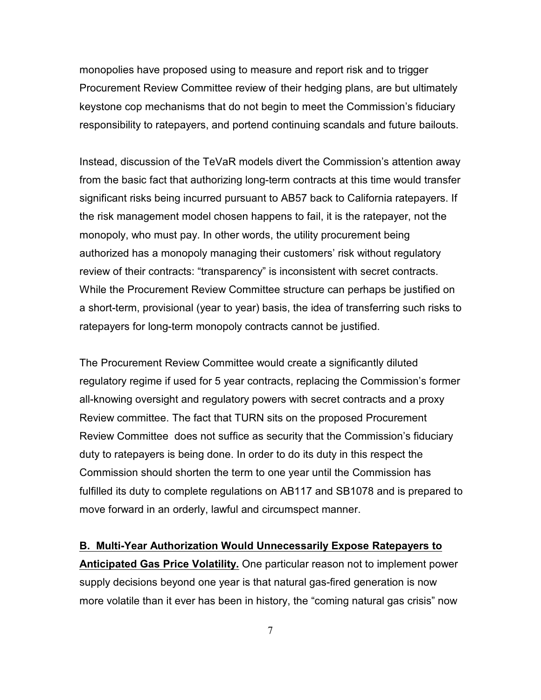monopolies have proposed using to measure and report risk and to trigger Procurement Review Committee review of their hedging plans, are but ultimately keystone cop mechanisms that do not begin to meet the Commission's fiduciary responsibility to ratepayers, and portend continuing scandals and future bailouts.

Instead, discussion of the TeVaR models divert the Commission's attention away from the basic fact that authorizing long-term contracts at this time would transfer significant risks being incurred pursuant to AB57 back to California ratepayers. If the risk management model chosen happens to fail, it is the ratepayer, not the monopoly, who must pay. In other words, the utility procurement being authorized has a monopoly managing their customers' risk without regulatory review of their contracts: "transparency" is inconsistent with secret contracts. While the Procurement Review Committee structure can perhaps be justified on a short-term, provisional (year to year) basis, the idea of transferring such risks to ratepayers for long-term monopoly contracts cannot be justified.

The Procurement Review Committee would create a significantly diluted regulatory regime if used for 5 year contracts, replacing the Commission's former all-knowing oversight and regulatory powers with secret contracts and a proxy Review committee. The fact that TURN sits on the proposed Procurement Review Committee does not suffice as security that the Commission's fiduciary duty to ratepayers is being done. In order to do its duty in this respect the Commission should shorten the term to one year until the Commission has fulfilled its duty to complete regulations on AB117 and SB1078 and is prepared to move forward in an orderly, lawful and circumspect manner.

**B. Multi-Year Authorization Would Unnecessarily Expose Ratepayers to Anticipated Gas Price Volatility.** One particular reason not to implement power supply decisions beyond one year is that natural gas-fired generation is now more volatile than it ever has been in history, the "coming natural gas crisis" now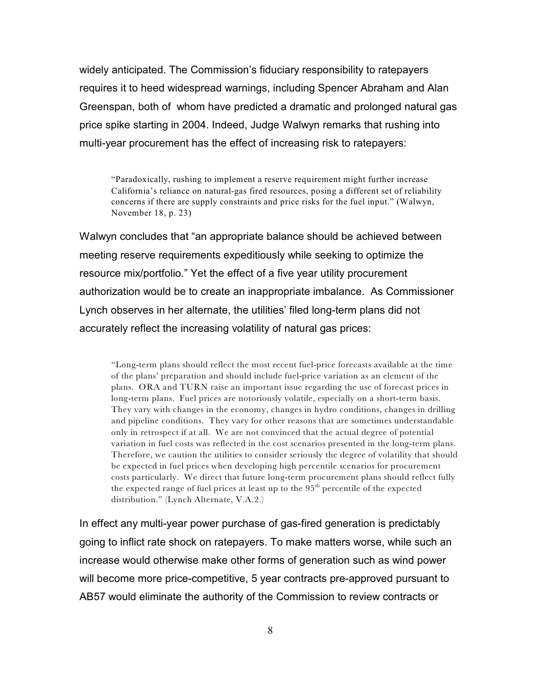widely anticipated. The Commission's fiduciary responsibility to ratepayers requires it to heed widespread warnings, including Spencer Abraham and Alan Greenspan, both of whom have predicted a dramatic and prolonged natural gas price spike starting in 2004. Indeed, Judge Walwyn remarks that rushing into multi-year procurement has the effect of increasing risk to ratepayers:

"Paradoxically, rushing to implement a reserve requirement might further increase California's reliance on natural-gas fired resources, posing a different set of reliability concerns if there are supply constraints and price risks for the fuel input." (Walwyn, November 18, p. 23)

Walwyn concludes that "an appropriate balance should be achieved between meeting reserve requirements expeditiously while seeking to optimize the resource mix/portfolio." Yet the effect of a five year utility procurement authorization would be to create an inappropriate imbalance. As Commissioner Lynch observes in her alternate, the utilities' filed long-term plans did not accurately reflect the increasing volatility of natural gas prices:

"Long-term plans should reflect the most recent fuel-price forecasts available at the time of the plans' preparation and should include fuel-price variation as an element of the plans. ORA and TURN raise an important issue regarding the use of forecast prices in long-term plans. Fuel prices are notoriously volatile, especially on a short-term basis. They vary with changes in the economy, changes in hydro conditions, changes in drilling and pipeline conditions. They vary for other reasons that are sometimes understandable only in retrospect if at all. We are not convinced that the actual degree of potential variation in fuel costs was reflected in the cost scenarios presented in the long-term plans. Therefore, we caution the utilities to consider seriously the degree of volatility that should be expected in fuel prices when developing high percentile scenarios for procurement costs particularly. We direct that future long-term procurement plans should reflect fully the expected range of fuel prices at least up to the  $95<sup>th</sup>$  percentile of the expected distribution." (Lynch Alternate, V.A.2.)

In effect any multi-year power purchase of gas-fired generation is predictably going to inflict rate shock on ratepayers. To make matters worse, while such an increase would otherwise make other forms of generation such as wind power will become more price-competitive, 5 year contracts pre-approved pursuant to AB57 would eliminate the authority of the Commission to review contracts or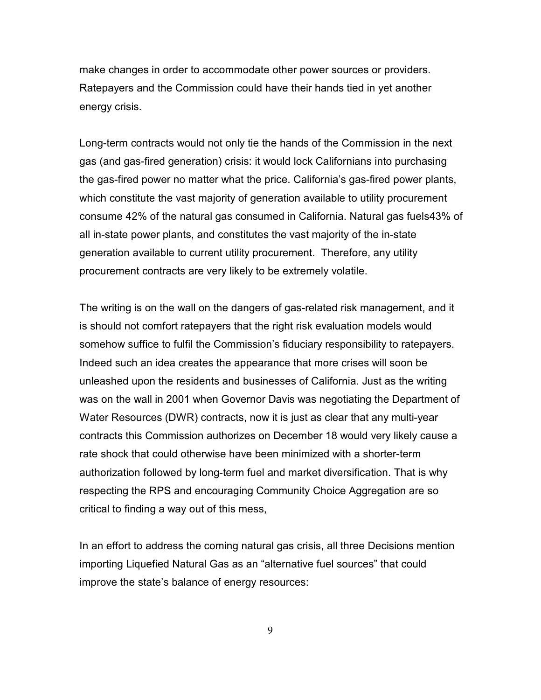make changes in order to accommodate other power sources or providers. Ratepayers and the Commission could have their hands tied in yet another energy crisis.

Long-term contracts would not only tie the hands of the Commission in the next gas (and gas-fired generation) crisis: it would lock Californians into purchasing the gas-fired power no matter what the price. California's gas-fired power plants, which constitute the vast majority of generation available to utility procurement consume 42% of the natural gas consumed in California. Natural gas fuels43% of all in-state power plants, and constitutes the vast majority of the in-state generation available to current utility procurement. Therefore, any utility procurement contracts are very likely to be extremely volatile.

The writing is on the wall on the dangers of gas-related risk management, and it is should not comfort ratepayers that the right risk evaluation models would somehow suffice to fulfil the Commission's fiduciary responsibility to ratepayers. Indeed such an idea creates the appearance that more crises will soon be unleashed upon the residents and businesses of California. Just as the writing was on the wall in 2001 when Governor Davis was negotiating the Department of Water Resources (DWR) contracts, now it is just as clear that any multi-year contracts this Commission authorizes on December 18 would very likely cause a rate shock that could otherwise have been minimized with a shorter-term authorization followed by long-term fuel and market diversification. That is why respecting the RPS and encouraging Community Choice Aggregation are so critical to finding a way out of this mess,

In an effort to address the coming natural gas crisis, all three Decisions mention importing Liquefied Natural Gas as an "alternative fuel sources" that could improve the state's balance of energy resources:

9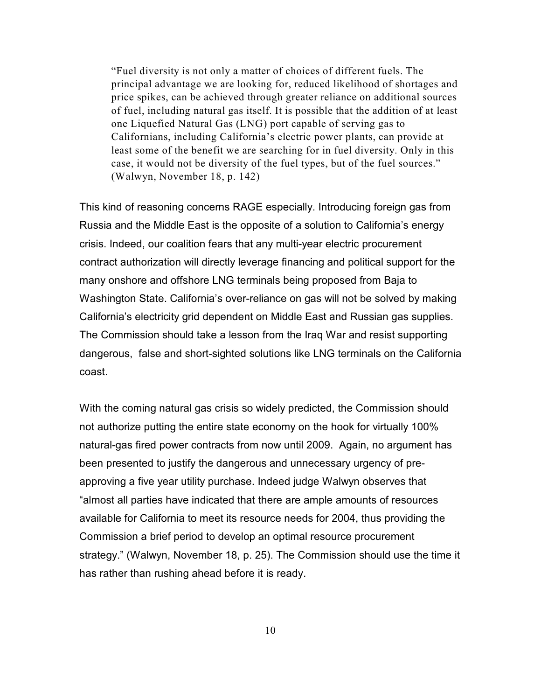"Fuel diversity is not only a matter of choices of different fuels. The principal advantage we are looking for, reduced likelihood of shortages and price spikes, can be achieved through greater reliance on additional sources of fuel, including natural gas itself. It is possible that the addition of at least one Liquefied Natural Gas (LNG) port capable of serving gas to Californians, including California's electric power plants, can provide at least some of the benefit we are searching for in fuel diversity. Only in this case, it would not be diversity of the fuel types, but of the fuel sources." (Walwyn, November 18, p. 142)

This kind of reasoning concerns RAGE especially. Introducing foreign gas from Russia and the Middle East is the opposite of a solution to California's energy crisis. Indeed, our coalition fears that any multi-year electric procurement contract authorization will directly leverage financing and political support for the many onshore and offshore LNG terminals being proposed from Baja to Washington State. California's over-reliance on gas will not be solved by making California's electricity grid dependent on Middle East and Russian gas supplies. The Commission should take a lesson from the Iraq War and resist supporting dangerous, false and short-sighted solutions like LNG terminals on the California coast.

With the coming natural gas crisis so widely predicted, the Commission should not authorize putting the entire state economy on the hook for virtually 100% natural-gas fired power contracts from now until 2009. Again, no argument has been presented to justify the dangerous and unnecessary urgency of preapproving a five year utility purchase. Indeed judge Walwyn observes that "almost all parties have indicated that there are ample amounts of resources available for California to meet its resource needs for 2004, thus providing the Commission a brief period to develop an optimal resource procurement strategy." (Walwyn, November 18, p. 25). The Commission should use the time it has rather than rushing ahead before it is ready.

10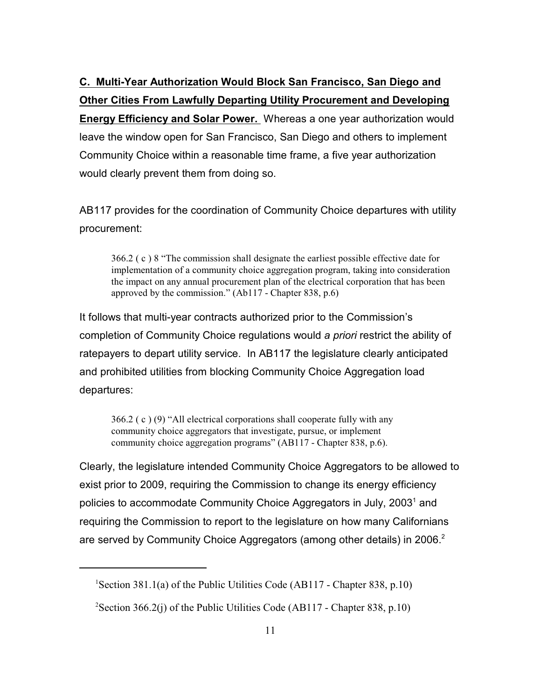**C. Multi-Year Authorization Would Block San Francisco, San Diego and Other Cities From Lawfully Departing Utility Procurement and Developing Energy Efficiency and Solar Power.** Whereas a one year authorization would leave the window open for San Francisco, San Diego and others to implement Community Choice within a reasonable time frame, a five year authorization would clearly prevent them from doing so.

AB117 provides for the coordination of Community Choice departures with utility procurement:

366.2 ( c ) 8 "The commission shall designate the earliest possible effective date for implementation of a community choice aggregation program, taking into consideration the impact on any annual procurement plan of the electrical corporation that has been approved by the commission." (Ab117 - Chapter 838, p.6)

It follows that multi-year contracts authorized prior to the Commission's completion of Community Choice regulations would *a priori* restrict the ability of ratepayers to depart utility service. In AB117 the legislature clearly anticipated and prohibited utilities from blocking Community Choice Aggregation load departures:

366.2 ( c ) (9) "All electrical corporations shall cooperate fully with any community choice aggregators that investigate, pursue, or implement community choice aggregation programs" (AB117 - Chapter 838, p.6).

Clearly, the legislature intended Community Choice Aggregators to be allowed to exist prior to 2009, requiring the Commission to change its energy efficiency policies to accommodate Community Choice Aggregators in July, 2003<sup>1</sup> and requiring the Commission to report to the legislature on how many Californians are served by Community Choice Aggregators (among other details) in 2006.<sup>2</sup>

<sup>&</sup>lt;sup>1</sup>Section 381.1(a) of the Public Utilities Code (AB117 - Chapter 838, p.10)

<sup>&</sup>lt;sup>2</sup>Section 366.2(j) of the Public Utilities Code (AB117 - Chapter 838, p.10)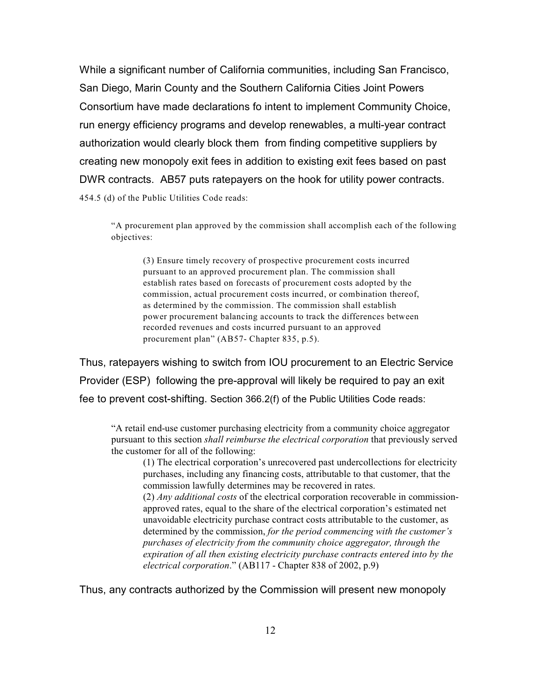While a significant number of California communities, including San Francisco, San Diego, Marin County and the Southern California Cities Joint Powers Consortium have made declarations fo intent to implement Community Choice, run energy efficiency programs and develop renewables, a multi-year contract authorization would clearly block them from finding competitive suppliers by creating new monopoly exit fees in addition to existing exit fees based on past DWR contracts. AB57 puts ratepayers on the hook for utility power contracts. 454.5 (d) of the Public Utilities Code reads:

"A procurement plan approved by the commission shall accomplish each of the following objectives:

(3) Ensure timely recovery of prospective procurement costs incurred pursuant to an approved procurement plan. The commission shall establish rates based on forecasts of procurement costs adopted by the commission, actual procurement costs incurred, or combination thereof, as determined by the commission. The commission shall establish power procurement balancing accounts to track the differences between recorded revenues and costs incurred pursuant to an approved procurement plan" (AB57- Chapter 835, p.5).

Thus, ratepayers wishing to switch from IOU procurement to an Electric Service Provider (ESP) following the pre-approval will likely be required to pay an exit fee to prevent cost-shifting. Section 366.2(f) of the Public Utilities Code reads:

"A retail end-use customer purchasing electricity from a community choice aggregator pursuant to this section *shall reimburse the electrical corporation* that previously served the customer for all of the following:

(1) The electrical corporation's unrecovered past undercollections for electricity purchases, including any financing costs, attributable to that customer, that the commission lawfully determines may be recovered in rates.

(2) *Any additional costs* of the electrical corporation recoverable in commissionapproved rates, equal to the share of the electrical corporation's estimated net unavoidable electricity purchase contract costs attributable to the customer, as determined by the commission, *for the period commencing with the customer's purchases of electricity from the community choice aggregator, through the expiration of all then existing electricity purchase contracts entered into by the electrical corporation*." (AB117 - Chapter 838 of 2002, p.9)

Thus, any contracts authorized by the Commission will present new monopoly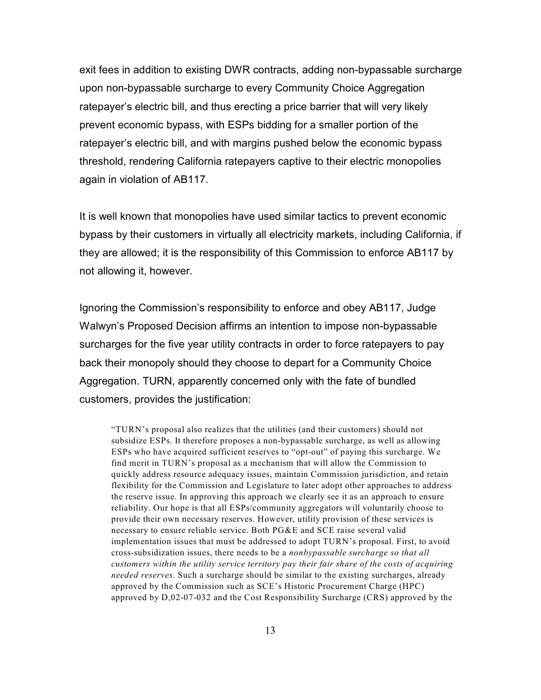exit fees in addition to existing DWR contracts, adding non-bypassable surcharge upon non-bypassable surcharge to every Community Choice Aggregation ratepayer's electric bill, and thus erecting a price barrier that will very likely prevent economic bypass, with ESPs bidding for a smaller portion of the ratepayer's electric bill, and with margins pushed below the economic bypass threshold, rendering California ratepayers captive to their electric monopolies again in violation of AB117.

It is well known that monopolies have used similar tactics to prevent economic bypass by their customers in virtually all electricity markets, including California, if they are allowed; it is the responsibility of this Commission to enforce AB117 by not allowing it, however.

Ignoring the Commission's responsibility to enforce and obey AB117, Judge Walwyn's Proposed Decision affirms an intention to impose non-bypassable surcharges for the five year utility contracts in order to force ratepayers to pay back their monopoly should they choose to depart for a Community Choice Aggregation. TURN, apparently concerned only with the fate of bundled customers, provides the justification:

"TURN's proposal also realizes that the utilities (and their customers) should not subsidize ESPs. It therefore proposes a non-bypassable surcharge, as well as allowing ESPs who have acquired sufficient reserves to "opt-out" of paying this surcharge. We find merit in TURN's proposal as a mechanism that will allow the Commission to quickly address resource adequacy issues, maintain Commission jurisdiction, and retain flexibility for the Commission and Legislature to later adopt other approaches to address the reserve issue. In approving this approach we clearly see it as an approach to ensure reliability. Our hope is that all ESPs/community aggregators will voluntarily choose to provide their own necessary reserves. However, utility provision of these services is necessary to ensure reliable service. Both PG&E and SCE raise several valid implementation issues that must be addressed to adopt TURN's proposal. First, to avoid cross-subsidization issues, there needs to be a *nonbypassable surcharge so that all customers within the utility service territory pay their fair share of the costs of acquiring needed reserves.* Such a surcharge should be similar to the existing surcharges, already approved by the Commission such as SCE's Historic Procurement Charge (HPC) approved by D,02-07-032 and the Cost Responsibility Surcharge (CRS) approved by the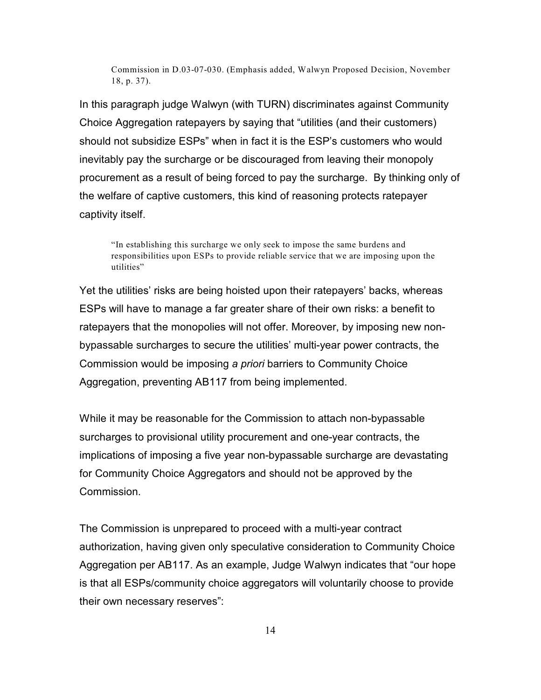Commission in D.03-07-030. (Emphasis added, Walwyn Proposed Decision, November 18, p. 37).

In this paragraph judge Walwyn (with TURN) discriminates against Community Choice Aggregation ratepayers by saying that "utilities (and their customers) should not subsidize ESPs" when in fact it is the ESP's customers who would inevitably pay the surcharge or be discouraged from leaving their monopoly procurement as a result of being forced to pay the surcharge. By thinking only of the welfare of captive customers, this kind of reasoning protects ratepayer captivity itself.

"In establishing this surcharge we only seek to impose the same burdens and responsibilities upon ESPs to provide reliable service that we are imposing upon the utilities"

Yet the utilities' risks are being hoisted upon their ratepayers' backs, whereas ESPs will have to manage a far greater share of their own risks: a benefit to ratepayers that the monopolies will not offer. Moreover, by imposing new nonbypassable surcharges to secure the utilities' multi-year power contracts, the Commission would be imposing *a priori* barriers to Community Choice Aggregation, preventing AB117 from being implemented.

While it may be reasonable for the Commission to attach non-bypassable surcharges to provisional utility procurement and one-year contracts, the implications of imposing a five year non-bypassable surcharge are devastating for Community Choice Aggregators and should not be approved by the Commission.

The Commission is unprepared to proceed with a multi-year contract authorization, having given only speculative consideration to Community Choice Aggregation per AB117. As an example, Judge Walwyn indicates that "our hope is that all ESPs/community choice aggregators will voluntarily choose to provide their own necessary reserves":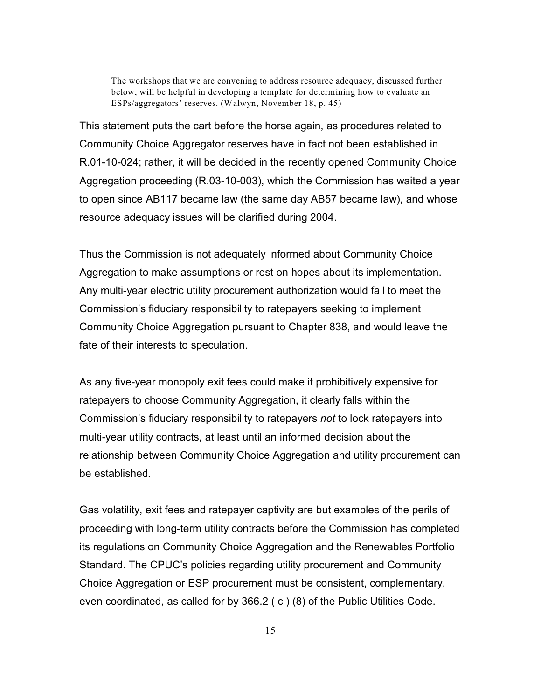The workshops that we are convening to address resource adequacy, discussed further below, will be helpful in developing a template for determining how to evaluate an ESPs/aggregators' reserves. (Walwyn, November 18, p. 45)

This statement puts the cart before the horse again, as procedures related to Community Choice Aggregator reserves have in fact not been established in R.01-10-024; rather, it will be decided in the recently opened Community Choice Aggregation proceeding (R.03-10-003), which the Commission has waited a year to open since AB117 became law (the same day AB57 became law), and whose resource adequacy issues will be clarified during 2004.

Thus the Commission is not adequately informed about Community Choice Aggregation to make assumptions or rest on hopes about its implementation. Any multi-year electric utility procurement authorization would fail to meet the Commission's fiduciary responsibility to ratepayers seeking to implement Community Choice Aggregation pursuant to Chapter 838, and would leave the fate of their interests to speculation.

As any five-year monopoly exit fees could make it prohibitively expensive for ratepayers to choose Community Aggregation, it clearly falls within the Commission's fiduciary responsibility to ratepayers *not* to lock ratepayers into multi-year utility contracts, at least until an informed decision about the relationship between Community Choice Aggregation and utility procurement can be established*.* 

Gas volatility, exit fees and ratepayer captivity are but examples of the perils of proceeding with long-term utility contracts before the Commission has completed its regulations on Community Choice Aggregation and the Renewables Portfolio Standard. The CPUC's policies regarding utility procurement and Community Choice Aggregation or ESP procurement must be consistent, complementary, even coordinated, as called for by 366.2 ( c ) (8) of the Public Utilities Code.

15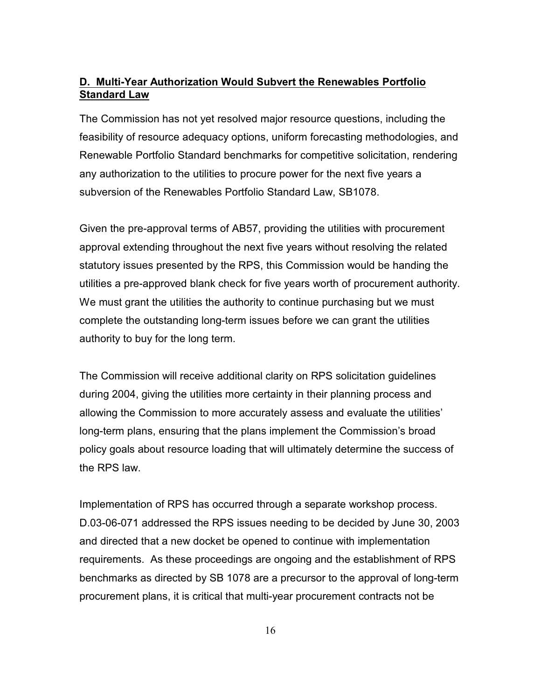### **D. Multi-Year Authorization Would Subvert the Renewables Portfolio Standard Law**

The Commission has not yet resolved major resource questions, including the feasibility of resource adequacy options, uniform forecasting methodologies, and Renewable Portfolio Standard benchmarks for competitive solicitation, rendering any authorization to the utilities to procure power for the next five years a subversion of the Renewables Portfolio Standard Law, SB1078.

Given the pre-approval terms of AB57, providing the utilities with procurement approval extending throughout the next five years without resolving the related statutory issues presented by the RPS, this Commission would be handing the utilities a pre-approved blank check for five years worth of procurement authority. We must grant the utilities the authority to continue purchasing but we must complete the outstanding long-term issues before we can grant the utilities authority to buy for the long term.

The Commission will receive additional clarity on RPS solicitation guidelines during 2004, giving the utilities more certainty in their planning process and allowing the Commission to more accurately assess and evaluate the utilities' long-term plans, ensuring that the plans implement the Commission's broad policy goals about resource loading that will ultimately determine the success of the RPS law.

Implementation of RPS has occurred through a separate workshop process. D.03-06-071 addressed the RPS issues needing to be decided by June 30, 2003 and directed that a new docket be opened to continue with implementation requirements. As these proceedings are ongoing and the establishment of RPS benchmarks as directed by SB 1078 are a precursor to the approval of long-term procurement plans, it is critical that multi-year procurement contracts not be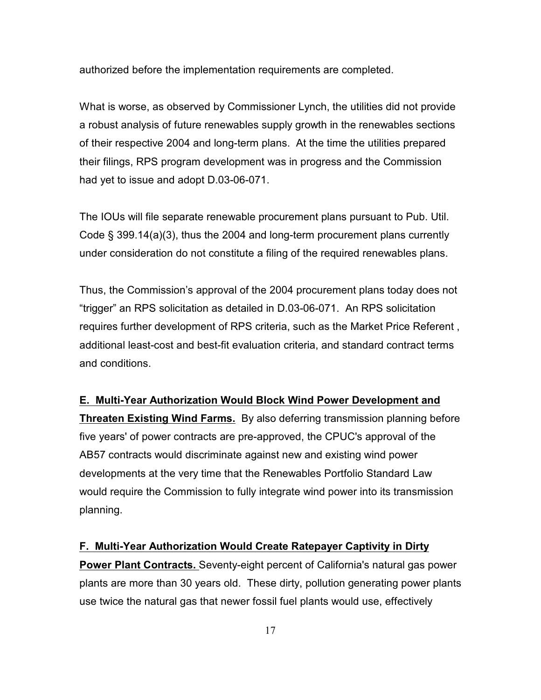authorized before the implementation requirements are completed.

What is worse, as observed by Commissioner Lynch, the utilities did not provide a robust analysis of future renewables supply growth in the renewables sections of their respective 2004 and long-term plans. At the time the utilities prepared their filings, RPS program development was in progress and the Commission had yet to issue and adopt D.03-06-071.

The IOUs will file separate renewable procurement plans pursuant to Pub. Util. Code § 399.14(a)(3), thus the 2004 and long-term procurement plans currently under consideration do not constitute a filing of the required renewables plans.

Thus, the Commission's approval of the 2004 procurement plans today does not "trigger" an RPS solicitation as detailed in D.03-06-071. An RPS solicitation requires further development of RPS criteria, such as the Market Price Referent , additional least-cost and best-fit evaluation criteria, and standard contract terms and conditions.

## **E. Multi-Year Authorization Would Block Wind Power Development and Threaten Existing Wind Farms.** By also deferring transmission planning before five years' of power contracts are pre-approved, the CPUC's approval of the AB57 contracts would discriminate against new and existing wind power developments at the very time that the Renewables Portfolio Standard Law would require the Commission to fully integrate wind power into its transmission planning.

### **F. Multi-Year Authorization Would Create Ratepayer Captivity in Dirty**

**Power Plant Contracts.** Seventy-eight percent of California's natural gas power plants are more than 30 years old. These dirty, pollution generating power plants use twice the natural gas that newer fossil fuel plants would use, effectively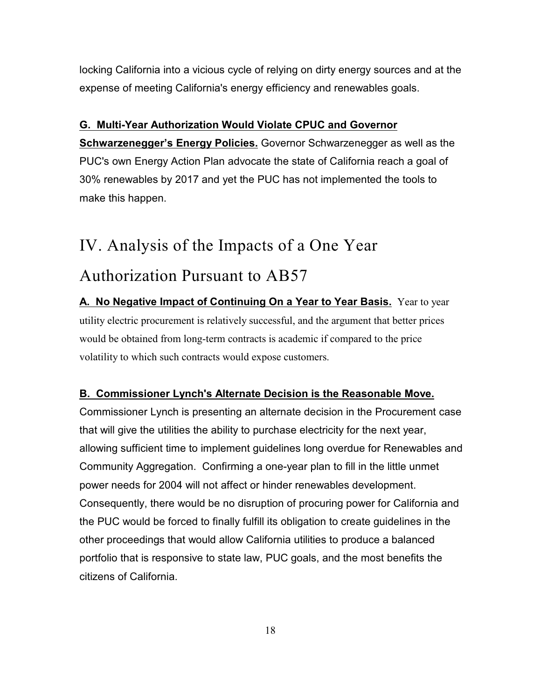locking California into a vicious cycle of relying on dirty energy sources and at the expense of meeting California's energy efficiency and renewables goals.

## **G. Multi-Year Authorization Would Violate CPUC and Governor**

**Schwarzenegger's Energy Policies.** Governor Schwarzenegger as well as the PUC's own Energy Action Plan advocate the state of California reach a goal of 30% renewables by 2017 and yet the PUC has not implemented the tools to make this happen.

# IV. Analysis of the Impacts of a One Year

# Authorization Pursuant to AB57

**A. No Negative Impact of Continuing On a Year to Year Basis.** Year to year utility electric procurement is relatively successful, and the argument that better prices would be obtained from long-term contracts is academic if compared to the price volatility to which such contracts would expose customers.

## **B. Commissioner Lynch's Alternate Decision is the Reasonable Move.**

Commissioner Lynch is presenting an alternate decision in the Procurement case that will give the utilities the ability to purchase electricity for the next year, allowing sufficient time to implement guidelines long overdue for Renewables and Community Aggregation. Confirming a one-year plan to fill in the little unmet power needs for 2004 will not affect or hinder renewables development. Consequently, there would be no disruption of procuring power for California and the PUC would be forced to finally fulfill its obligation to create guidelines in the other proceedings that would allow California utilities to produce a balanced portfolio that is responsive to state law, PUC goals, and the most benefits the citizens of California.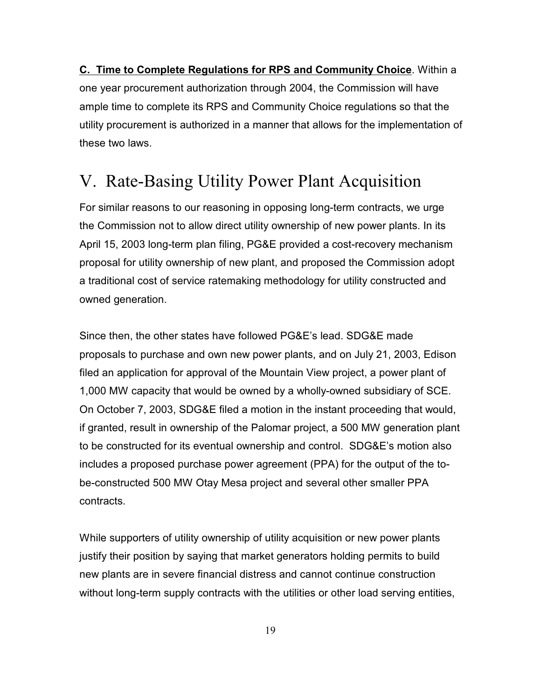**C. Time to Complete Regulations for RPS and Community Choice**. Within a one year procurement authorization through 2004, the Commission will have ample time to complete its RPS and Community Choice regulations so that the utility procurement is authorized in a manner that allows for the implementation of these two laws.

# V. Rate-Basing Utility Power Plant Acquisition

For similar reasons to our reasoning in opposing long-term contracts, we urge the Commission not to allow direct utility ownership of new power plants. In its April 15, 2003 long-term plan filing, PG&E provided a cost-recovery mechanism proposal for utility ownership of new plant, and proposed the Commission adopt a traditional cost of service ratemaking methodology for utility constructed and owned generation.

Since then, the other states have followed PG&E's lead. SDG&E made proposals to purchase and own new power plants, and on July 21, 2003, Edison filed an application for approval of the Mountain View project, a power plant of 1,000 MW capacity that would be owned by a wholly-owned subsidiary of SCE. On October 7, 2003, SDG&E filed a motion in the instant proceeding that would, if granted, result in ownership of the Palomar project, a 500 MW generation plant to be constructed for its eventual ownership and control. SDG&E's motion also includes a proposed purchase power agreement (PPA) for the output of the tobe-constructed 500 MW Otay Mesa project and several other smaller PPA contracts.

While supporters of utility ownership of utility acquisition or new power plants justify their position by saying that market generators holding permits to build new plants are in severe financial distress and cannot continue construction without long-term supply contracts with the utilities or other load serving entities,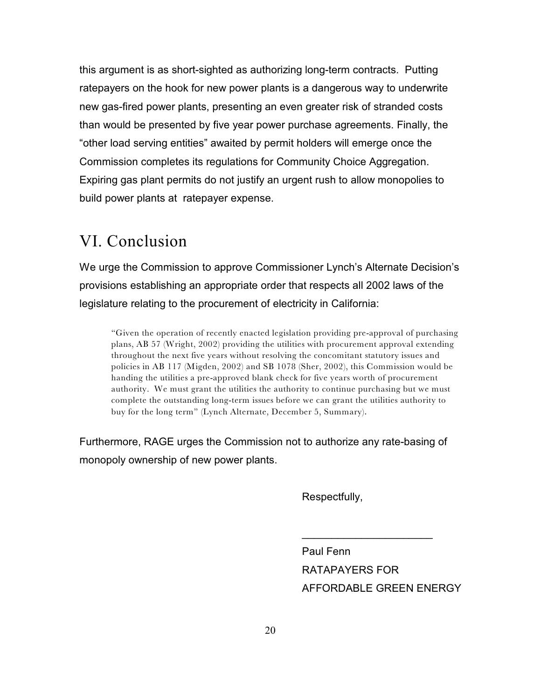this argument is as short-sighted as authorizing long-term contracts. Putting ratepayers on the hook for new power plants is a dangerous way to underwrite new gas-fired power plants, presenting an even greater risk of stranded costs than would be presented by five year power purchase agreements. Finally, the "other load serving entities" awaited by permit holders will emerge once the Commission completes its regulations for Community Choice Aggregation. Expiring gas plant permits do not justify an urgent rush to allow monopolies to build power plants at ratepayer expense.

## VI. Conclusion

We urge the Commission to approve Commissioner Lynch's Alternate Decision's provisions establishing an appropriate order that respects all 2002 laws of the legislature relating to the procurement of electricity in California:

"Given the operation of recently enacted legislation providing pre-approval of purchasing plans, AB 57 (Wright, 2002) providing the utilities with procurement approval extending throughout the next five years without resolving the concomitant statutory issues and policies in AB 117 (Migden, 2002) and SB 1078 (Sher, 2002), this Commission would be handing the utilities a pre-approved blank check for five years worth of procurement authority. We must grant the utilities the authority to continue purchasing but we must complete the outstanding long-term issues before we can grant the utilities authority to buy for the long term" (Lynch Alternate, December 5, Summary).

Furthermore, RAGE urges the Commission not to authorize any rate-basing of monopoly ownership of new power plants.

Respectfully,

Paul Fenn RATAPAYERS FOR AFFORDABLE GREEN ENERGY

 $\frac{1}{2}$  ,  $\frac{1}{2}$  ,  $\frac{1}{2}$  ,  $\frac{1}{2}$  ,  $\frac{1}{2}$  ,  $\frac{1}{2}$  ,  $\frac{1}{2}$  ,  $\frac{1}{2}$  ,  $\frac{1}{2}$  ,  $\frac{1}{2}$  ,  $\frac{1}{2}$  ,  $\frac{1}{2}$  ,  $\frac{1}{2}$  ,  $\frac{1}{2}$  ,  $\frac{1}{2}$  ,  $\frac{1}{2}$  ,  $\frac{1}{2}$  ,  $\frac{1}{2}$  ,  $\frac{1$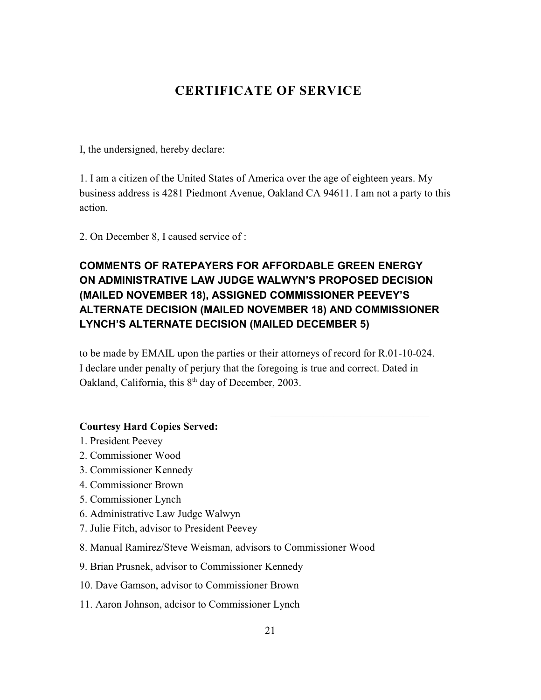## **CERTIFICATE OF SERVICE**

I, the undersigned, hereby declare:

1. I am a citizen of the United States of America over the age of eighteen years. My business address is 4281 Piedmont Avenue, Oakland CA 94611. I am not a party to this action.

2. On December 8, I caused service of :

## **COMMENTS OF RATEPAYERS FOR AFFORDABLE GREEN ENERGY ON ADMINISTRATIVE LAW JUDGE WALWYN'S PROPOSED DECISION (MAILED NOVEMBER 18), ASSIGNED COMMISSIONER PEEVEY'S ALTERNATE DECISION (MAILED NOVEMBER 18) AND COMMISSIONER LYNCH'S ALTERNATE DECISION (MAILED DECEMBER 5)**

to be made by EMAIL upon the parties or their attorneys of record for R.01-10-024. I declare under penalty of perjury that the foregoing is true and correct. Dated in Oakland, California, this  $8<sup>th</sup>$  day of December, 2003.

\_\_\_\_\_\_\_\_\_\_\_\_\_\_\_\_\_\_\_\_\_\_\_\_\_\_\_\_\_\_

### **Courtesy Hard Copies Served:**

- 1. President Peevey
- 2. Commissioner Wood
- 3. Commissioner Kennedy
- 4. Commissioner Brown
- 5. Commissioner Lynch
- 6. Administrative Law Judge Walwyn
- 7. Julie Fitch, advisor to President Peevey
- 8. Manual Ramirez/Steve Weisman, advisors to Commissioner Wood
- 9. Brian Prusnek, advisor to Commissioner Kennedy
- 10. Dave Gamson, advisor to Commissioner Brown
- 11. Aaron Johnson, adcisor to Commissioner Lynch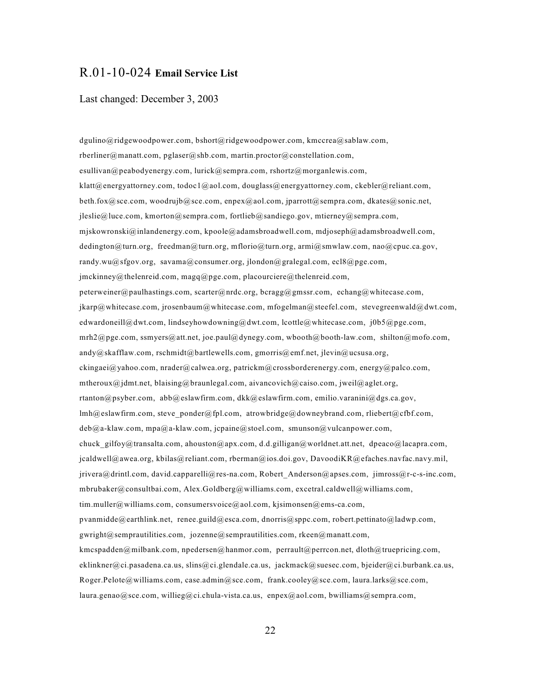### R.01-10-024 **Email Service List**

#### Last changed: December 3, 2003

dgulino@ridgewoodpower.com, bshort@ridgewoodpower.com, kmccrea@sablaw.com, rberliner@manatt.com, pglaser@shb.com, martin.proctor@constellation.com, esullivan@peabodyenergy.com, lurick@sempra.com, rshortz@morganlewis.com, klatt@energyattorney.com, todoc1@aol.com, douglass@energyattorney.com, ckebler@reliant.com, beth.fox@sce.com, woodrujb@sce.com, enpex@aol.com, jparrott@sempra.com, dkates@sonic.net,  $j$ leslie@luce.com, kmorton@sempra.com, fortlieb@sandiego.gov, mtierney@sempra.com, mjskowronski@inlandenergy.com, kpoole@adamsbroadwell.com, mdjoseph@adamsbroadwell.com, dedington@turn.org, freedman@turn.org, mflorio@turn.org, armi@smwlaw.com, nao@cpuc.ca.gov, randy.wu@sfgov.org, savama@consumer.org, jlondon@gralegal.com, ecl8@pge.com, jmckinney@thelenreid.com, magq@pge.com, placourciere@thelenreid.com, peterweiner@paulhastings.com, scarter@nrdc.org, bcragg@gmssr.com, echang@whitecase.com, jkarp@whitecase.com, jrosenbaum@whitecase.com, mfogelman@steefel.com, stevegreenwald@dwt.com, edwardoneill@dwt.com, lindseyhowdowning@dwt.com, lcottle@whitecase.com, j0b5@pge.com, mrh2@pge.com, ssmyers@att.net, joe.paul@dynegy.com, wbooth@booth-law.com, shilton@mofo.com, andy@skafflaw.com, rschmidt@bartlewells.com, gmorris@emf.net, jlevin@ucsusa.org, ckingaei@yahoo.com, nrader@calwea.org, patrickm@crossborderenergy.com, energy@palco.com, mtheroux@jdmt.net, blaising@braunlegal.com, aivancovich@caiso.com, jweil@aglet.org, rtanton@psyber.com, abb@eslawfirm.com, dkk@eslawfirm.com, emilio.varanini@dgs.ca.gov, lmh@eslawfirm.com, steve\_ponder@fpl.com, atrowbridge@downeybrand.com, rliebert@cfbf.com, deb@a-klaw.com, mpa@a-klaw.com, jcpaine@stoel.com, smunson@vulcanpower.com, chuck gilfoy@transalta.com, ahouston@apx.com, d.d.gilligan@worldnet.att.net, dpeaco@lacapra.com, jcaldwell@awea.org, kbilas@reliant.com, rberman@ios.doi.gov, DavoodiKR@efaches.navfac.navy.mil, jrivera@drintl.com, david.capparelli@res-na.com, Robert\_Anderson@apses.com, jimross@r-c-s-inc.com, mbrubaker@consultbai.com, Alex.Goldberg@williams.com, excetral.caldwell@williams.com, tim.muller@williams.com, consumersvoice@aol.com, kjsimonsen@ems-ca.com, pvanmidde@earthlink.net, renee.guild@esca.com, dnorris@sppc.com, robert.pettinato@ladwp.com, gwright@semprautilities.com, jozenne@semprautilities.com, rkeen@manatt.com, kmcspadden@milbank.com, npedersen@hanmor.com, perrault@perrcon.net, dloth@truepricing.com, eklinkner@ci.pasadena.ca.us, slins@ci.glendale.ca.us, jackmack@suesec.com, bjeider@ci.burbank.ca.us, Roger.Pelote@williams.com, case.admin@sce.com, frank.cooley@sce.com, laura.larks@sce.com, laura.genao@sce.com, willieg@ci.chula-vista.ca.us, enpex@aol.com, bwilliams@sempra.com,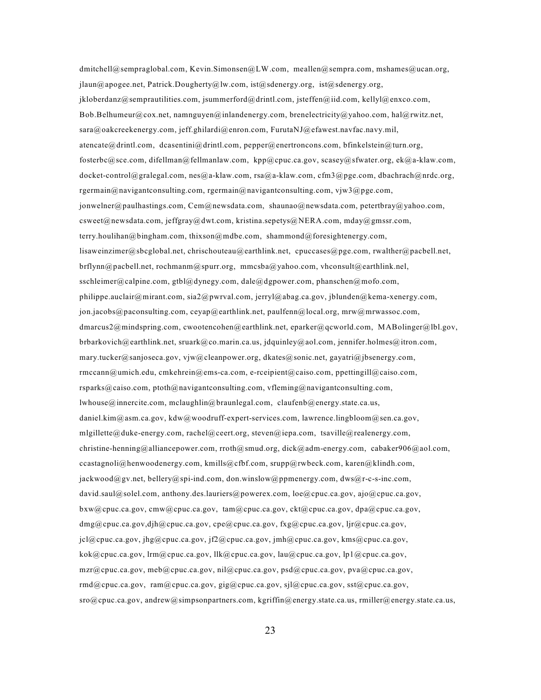dmitchell@sempraglobal.com, Kevin.Simonsen@LW.com, meallen@sempra.com, mshames@ucan.org, jlaun@apogee.net, Patrick.Dougherty@lw.com, ist@sdenergy.org, ist@sdenergy.org, jkloberdanz@semprautilities.com, jsummerford@drintl.com, jsteffen@iid.com, kellyl@enxco.com, Bob.Belhumeur@cox.net, namnguyen@inlandenergy.com, brenelectricity@yahoo.com, hal@rwitz.net, sara@oakcreekenergy.com, jeff.ghilardi@enron.com, FurutaNJ@efawest.navfac.navy.mil, atencate@drintl.com, dcasentini@drintl.com, pepper@enertroncons.com, bfinkelstein@turn.org, fosterbc@sce.com, difellman@fellmanlaw.com, kpp@cpuc.ca.gov, scasey@sfwater.org, ek@a-klaw.com, docket-control@gralegal.com, nes@a-klaw.com, rsa@a-klaw.com, cfm3@pge.com, dbachrach@nrdc.org, rgermain@navigantconsulting.com, rgermain@navigantconsulting.com, vjw3@pge.com, jonwelner@paulhastings.com, Cem@newsdata.com, shaunao@newsdata.com, petertbray@yahoo.com, csweet@newsdata.com, jeffgray@dwt.com, kristina.sepetys@NERA.com, mday@gmssr.com, terry.houlihan@bingham.com, thixson@mdbe.com, shammond@foresightenergy.com, lisaweinzimer@sbcglobal.net, chrischouteau@earthlink.net, cpuccases@pge.com, rwalther@pacbell.net, brflynn@pacbell.net, rochmanm@spurr.org, mmcsba@yahoo.com, vhconsult@earthlink.nel, sschleimer@calpine.com, gtbl@dynegy.com, dale@dgpower.com, phanschen@mofo.com, philippe.auclair@mirant.com, sia2@pwrval.com, jerryl@abag.ca.gov, jblunden@kema-xenergy.com, jon.jacobs@paconsulting.com, ceyap@earthlink.net, paulfenn@local.org, mrw@mrwassoc.com, dmarcus2@mindspring.com, cwootencohen@earthlink.net, eparker@qcworld.com, MABolinger@lbl.gov, brbarkovich@earthlink.net, sruark@co.marin.ca.us, jdquinley@aol.com, jennifer.holmes@itron.com, mary.tucker@sanjoseca.gov, vjw@cleanpower.org, dkates@sonic.net, gayatri@jbsenergy.com, rmccann@umich.edu, cmkehrein@ems-ca.com, e-rceipient@caiso.com, ppettingill@caiso.com, rsparks@caiso.com, ptoth@navigantconsulting.com, vfleming@navigantconsulting.com, lwhouse@innercite.com, mclaughlin@braunlegal.com, claufenb@energy.state.ca.us, daniel.kim@asm.ca.gov, kdw@woodruff-expert-services.com, lawrence.lingbloom@sen.ca.gov, mlgillette@duke-energy.com, rachel@ceert.org, steven@iepa.com, tsaville@realenergy.com, christine-henning@alliancepower.com, rroth@smud.org, dick@adm-energy.com, cabaker906@aol.com, ccastagnoli@henwoodenergy.com, kmills@cfbf.com, srupp@rwbeck.com, karen@klindh.com, jackwood@gv.net, bellery@spi-ind.com, don.winslow@ppmenergy.com, dws@r-c-s-inc.com, david.saul@solel.com, anthony.des.lauriers@powerex.com, loe@cpuc.ca.gov, ajo@cpuc.ca.gov, bxw@cpuc.ca.gov, cmw@cpuc.ca.gov, tam@cpuc.ca.gov, ckt@cpuc.ca.gov, dpa@cpuc.ca.gov, dmg@cpuc.ca.gov,djh@cpuc.ca.gov, cpe@cpuc.ca.gov, fxg@cpuc.ca.gov, ljr@cpuc.ca.gov, jcl@cpuc.ca.gov, jhg@cpuc.ca.gov, jf2@cpuc.ca.gov, jmh@cpuc.ca.gov, kms@cpuc.ca.gov, kok@cpuc.ca.gov, lrm@cpuc.ca.gov, llk@cpuc.ca.gov, lau@cpuc.ca.gov, lp1@cpuc.ca.gov, mzr@cpuc.ca.gov, meb@cpuc.ca.gov, nil@cpuc.ca.gov, psd@cpuc.ca.gov, pva@cpuc.ca.gov, rmd@cpuc.ca.gov, ram@cpuc.ca.gov, gig@cpuc.ca.gov, sjl@cpuc.ca.gov, sst@cpuc.ca.gov,  $sro@cpuc.ca.gov$ , andrew $@sim$ simpsonpartners.com, kgriffin $@energy$ .state.ca.us, rmiller $@energy$ .state.ca.us,